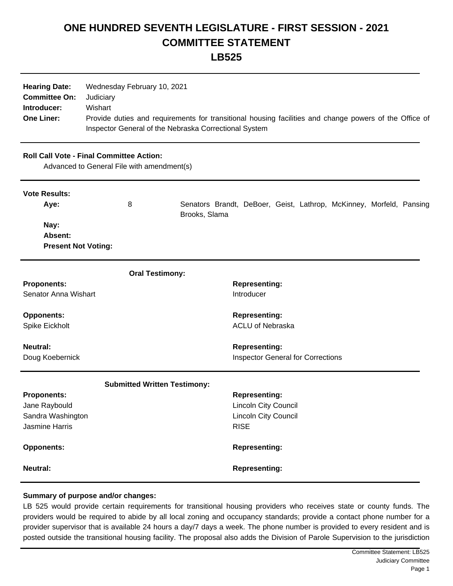## **ONE HUNDRED SEVENTH LEGISLATURE - FIRST SESSION - 2021 COMMITTEE STATEMENT**

| I |
|---|
|---|

| <b>Hearing Date:</b><br><b>Committee On:</b><br>Introducer:<br><b>One Liner:</b>              | Wednesday February 10, 2021<br>Judiciary<br>Wishart<br>Provide duties and requirements for transitional housing facilities and change powers of the Office of<br>Inspector General of the Nebraska Correctional System |                                                                                            |  |
|-----------------------------------------------------------------------------------------------|------------------------------------------------------------------------------------------------------------------------------------------------------------------------------------------------------------------------|--------------------------------------------------------------------------------------------|--|
| <b>Roll Call Vote - Final Committee Action:</b><br>Advanced to General File with amendment(s) |                                                                                                                                                                                                                        |                                                                                            |  |
| <b>Vote Results:</b><br>Aye:<br>Nay:<br>Absent:<br><b>Present Not Voting:</b>                 | 8                                                                                                                                                                                                                      | Senators Brandt, DeBoer, Geist, Lathrop, McKinney, Morfeld, Pansing<br>Brooks, Slama       |  |
|                                                                                               | <b>Oral Testimony:</b>                                                                                                                                                                                                 |                                                                                            |  |
| <b>Proponents:</b><br>Senator Anna Wishart                                                    |                                                                                                                                                                                                                        | <b>Representing:</b><br>Introducer                                                         |  |
| <b>Opponents:</b><br>Spike Eickholt                                                           |                                                                                                                                                                                                                        | <b>Representing:</b><br><b>ACLU of Nebraska</b>                                            |  |
| <b>Neutral:</b><br>Doug Koebernick                                                            |                                                                                                                                                                                                                        | <b>Representing:</b><br><b>Inspector General for Corrections</b>                           |  |
| <b>Submitted Written Testimony:</b>                                                           |                                                                                                                                                                                                                        |                                                                                            |  |
| <b>Proponents:</b><br>Jane Raybould<br>Sandra Washington<br><b>Jasmine Harris</b>             |                                                                                                                                                                                                                        | <b>Representing:</b><br>Lincoln City Council<br><b>Lincoln City Council</b><br><b>RISE</b> |  |
| <b>Opponents:</b>                                                                             |                                                                                                                                                                                                                        | <b>Representing:</b>                                                                       |  |
| Neutral:                                                                                      |                                                                                                                                                                                                                        | <b>Representing:</b>                                                                       |  |

## **Summary of purpose and/or changes:**

LB 525 would provide certain requirements for transitional housing providers who receives state or county funds. The providers would be required to abide by all local zoning and occupancy standards; provide a contact phone number for a provider supervisor that is available 24 hours a day/7 days a week. The phone number is provided to every resident and is posted outside the transitional housing facility. The proposal also adds the Division of Parole Supervision to the jurisdiction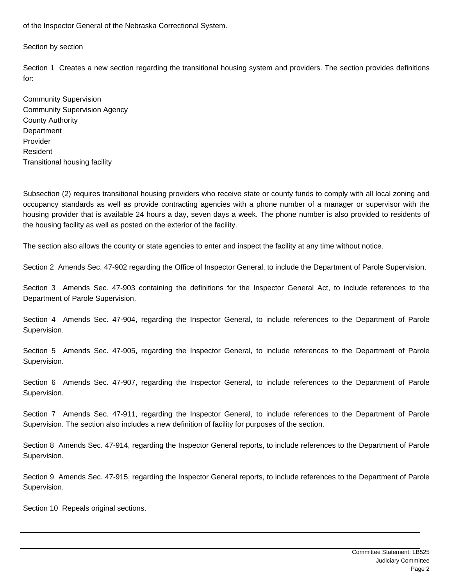of the Inspector General of the Nebraska Correctional System.

Section by section

Section 1 Creates a new section regarding the transitional housing system and providers. The section provides definitions for:

Community Supervision Community Supervision Agency County Authority **Department** Provider Resident Transitional housing facility

Subsection (2) requires transitional housing providers who receive state or county funds to comply with all local zoning and occupancy standards as well as provide contracting agencies with a phone number of a manager or supervisor with the housing provider that is available 24 hours a day, seven days a week. The phone number is also provided to residents of the housing facility as well as posted on the exterior of the facility.

The section also allows the county or state agencies to enter and inspect the facility at any time without notice.

Section 2 Amends Sec. 47-902 regarding the Office of Inspector General, to include the Department of Parole Supervision.

Section 3 Amends Sec. 47-903 containing the definitions for the Inspector General Act, to include references to the Department of Parole Supervision.

Section 4 Amends Sec. 47-904, regarding the Inspector General, to include references to the Department of Parole Supervision.

Section 5 Amends Sec. 47-905, regarding the Inspector General, to include references to the Department of Parole Supervision.

Section 6 Amends Sec. 47-907, regarding the Inspector General, to include references to the Department of Parole Supervision.

Section 7 Amends Sec. 47-911, regarding the Inspector General, to include references to the Department of Parole Supervision. The section also includes a new definition of facility for purposes of the section.

Section 8 Amends Sec. 47-914, regarding the Inspector General reports, to include references to the Department of Parole Supervision.

Section 9 Amends Sec. 47-915, regarding the Inspector General reports, to include references to the Department of Parole Supervision.

Section 10 Repeals original sections.